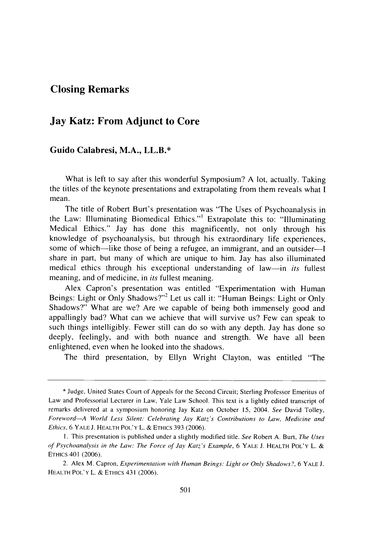## **Closing Remarks**

## **Jay Katz: From Adjunct to Core**

## **Guido Calabresi, M.A., LL.B.\***

What is left to say after this wonderful Symposium? **A** lot, actually. Taking the titles of the keynote presentations and extrapolating from them reveals what **I** mean.

The title of Robert Burt's presentation was "The Uses of Psychoanalysis in the Law: Illuminating Biomedical Ethics."' Extrapolate this to: "Illuminating Medical Ethics." Jay has done this magnificently, not only through his knowledge of psychoanalysis, but through his extraordinary life experiences, some of which—like those of being a refugee, an immigrant, and an outsider—I share in part, but many of which are unique to him. Jay has also illuminated medical ethics through his exceptional understanding of law-in *its* fullest meaning, and of medicine, in *its* fullest meaning.

Alex Capron's presentation was entitled "Experimentation with Human Beings: Light or Only Shadows?"<sup>2</sup> Let us call it: "Human Beings: Light or Only Shadows?" What are we? Are we capable of being both immensely good and appallingly bad? What can we achieve that will survive us? Few can speak to such things intelligibly. Fewer still can do so with any depth. Jay has done so deeply, feelingly, and with both nuance and strength. We have all been enlightened, even when he looked into the shadows.

The third presentation, by Ellyn Wright Clayton, was entitled "The

<sup>\*</sup> Judge, United States Court of Appeals for the Second Circuit; Sterling Professor Emeritus of Law and Professorial Lecturer in Law, Yale Law School. This text is a lightly edited transcript of remarks delivered at a symposium honoring Jay Katz on October 15, 2004. See David Tolley, Foreword-A World Less Silent: Celebrating Jay Katz's Contributions to Law, Medicine and Ethics, 6 YALE **J.** HEALTH **POL'Y** L. & ETHics 393 (2006).

**<sup>1.</sup>** This presentation is published under a slightly modified title. See Robert A. Burt, The Uses of *Psychoanalysis in the Law: The Force of Jay Katz's Example,* 6 YALE J. HEALTH POL'Y L. & ETHIcs 401 (2006).

<sup>2.</sup> Alex M. Capron, *Experimentation with* Human *Beings: Light or Only Shadows?,* 6 YALE J. HEALTH POL'Y L. & ETHICS 431 (2006).